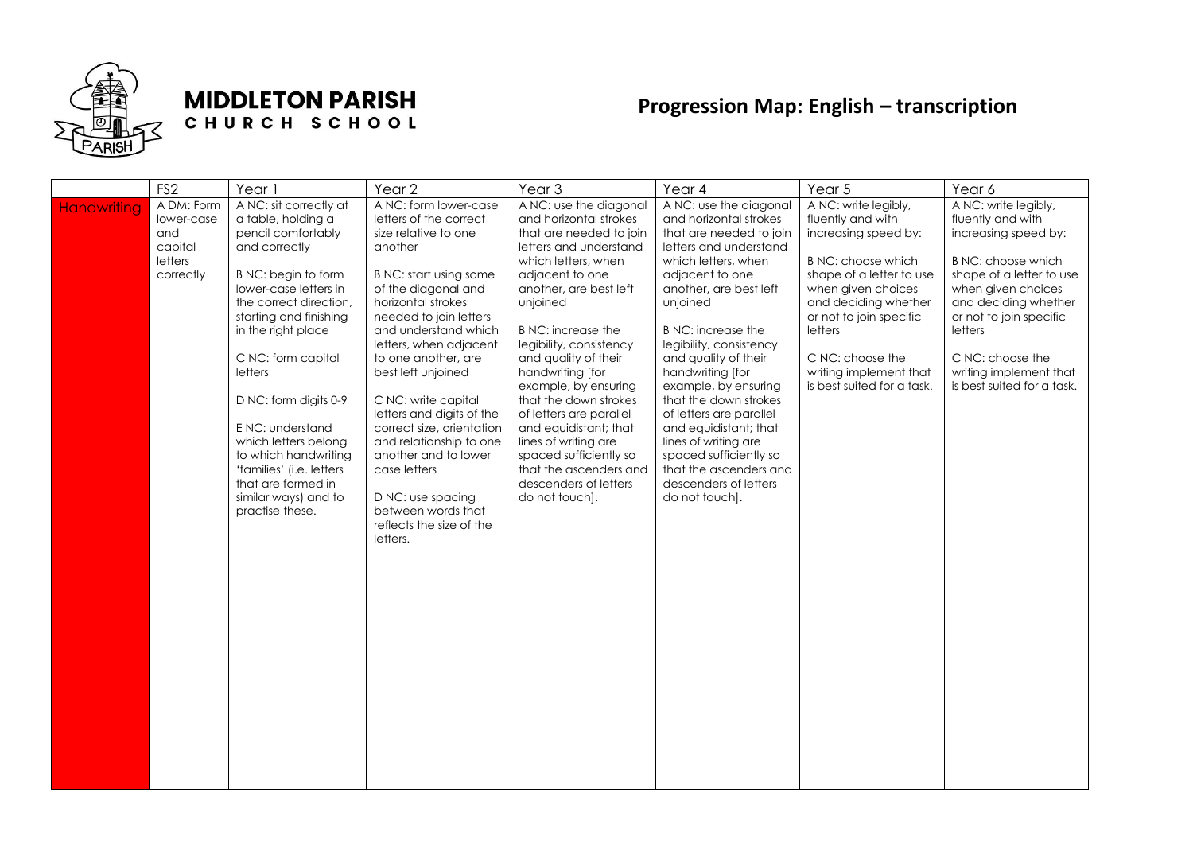

## **MIDDLETON PARISH** CHURCH SCHOOL

## **Progression Map: English – transcription**

|                    | FS <sub>2</sub>                                                    | Year 1                                                                                                                                                                                                                                                                                                                                                                                                                                   | Year <sub>2</sub>                                                                                                                                                                                                                                                                                                                                                                                                                                                                                                         | Year <sub>3</sub>                                                                                                                                                                                                                                                                                                                                                                                                                                                                                                     | Year 4                                                                                                                                                                                                                                                                                                                                                                                                                                                                                                         | Year 5                                                                                                                                                                                                                                                                              | Year 6                                                                                                                                                                                                                                                                              |
|--------------------|--------------------------------------------------------------------|------------------------------------------------------------------------------------------------------------------------------------------------------------------------------------------------------------------------------------------------------------------------------------------------------------------------------------------------------------------------------------------------------------------------------------------|---------------------------------------------------------------------------------------------------------------------------------------------------------------------------------------------------------------------------------------------------------------------------------------------------------------------------------------------------------------------------------------------------------------------------------------------------------------------------------------------------------------------------|-----------------------------------------------------------------------------------------------------------------------------------------------------------------------------------------------------------------------------------------------------------------------------------------------------------------------------------------------------------------------------------------------------------------------------------------------------------------------------------------------------------------------|----------------------------------------------------------------------------------------------------------------------------------------------------------------------------------------------------------------------------------------------------------------------------------------------------------------------------------------------------------------------------------------------------------------------------------------------------------------------------------------------------------------|-------------------------------------------------------------------------------------------------------------------------------------------------------------------------------------------------------------------------------------------------------------------------------------|-------------------------------------------------------------------------------------------------------------------------------------------------------------------------------------------------------------------------------------------------------------------------------------|
| <b>Handwriting</b> | A DM: Form<br>lower-case<br>and<br>capital<br>letters<br>correctly | A NC: sit correctly at<br>a table, holding a<br>pencil comfortably<br>and correctly<br>B NC: begin to form<br>lower-case letters in<br>the correct direction,<br>starting and finishing<br>in the right place<br>C NC: form capital<br>letters<br>D NC: form digits 0-9<br>E NC: understand<br>which letters belong<br>to which handwriting<br>'families' (i.e. letters<br>that are formed in<br>similar ways) and to<br>practise these. | A NC: form lower-case<br>letters of the correct<br>size relative to one<br>another<br>B NC: start using some<br>of the diagonal and<br>horizontal strokes<br>needed to join letters<br>and understand which<br>letters, when adjacent<br>to one another, are<br>best left unjoined<br>C NC: write capital<br>letters and digits of the<br>correct size, orientation<br>and relationship to one<br>another and to lower<br>case letters<br>D NC: use spacing<br>between words that<br>reflects the size of the<br>letters. | A NC: use the diagonal<br>and horizontal strokes<br>that are needed to join<br>letters and understand<br>which letters, when<br>adjacent to one<br>another, are best left<br>unjoined<br><b>B</b> NC: increase the<br>legibility, consistency<br>and quality of their<br>handwriting [for<br>example, by ensuring<br>that the down strokes<br>of letters are parallel<br>and equidistant; that<br>lines of writing are<br>spaced sufficiently so<br>that the ascenders and<br>descenders of letters<br>do not touch]. | A NC: use the diagonal<br>and horizontal strokes<br>that are needed to join<br>letters and understand<br>which letters, when<br>adjacent to one<br>another, are best left<br>unjoined<br>B NC: increase the<br>legibility, consistency<br>and quality of their<br>handwriting [for<br>example, by ensuring<br>that the down strokes<br>of letters are parallel<br>and equidistant; that<br>lines of writing are<br>spaced sufficiently so<br>that the ascenders and<br>descenders of letters<br>do not touch]. | A NC: write legibly,<br>fluently and with<br>increasing speed by:<br>B NC: choose which<br>shape of a letter to use<br>when given choices<br>and deciding whether<br>or not to join specific<br>letters<br>C NC: choose the<br>writing implement that<br>is best suited for a task. | A NC: write legibly,<br>fluently and with<br>increasing speed by:<br>B NC: choose which<br>shape of a letter to use<br>when given choices<br>and deciding whether<br>or not to join specific<br>letters<br>C NC: choose the<br>writing implement that<br>is best suited for a task. |